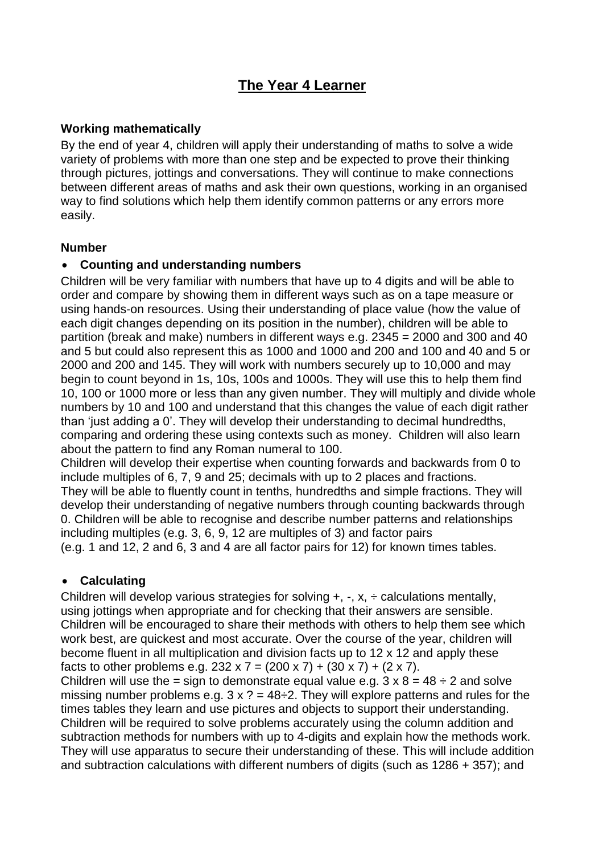# **The Year 4 Learner**

### **Working mathematically**

By the end of year 4, children will apply their understanding of maths to solve a wide variety of problems with more than one step and be expected to prove their thinking through pictures, jottings and conversations. They will continue to make connections between different areas of maths and ask their own questions, working in an organised way to find solutions which help them identify common patterns or any errors more easily.

#### **Number**

### **Counting and understanding numbers**

Children will be very familiar with numbers that have up to 4 digits and will be able to order and compare by showing them in different ways such as on a tape measure or using hands-on resources. Using their understanding of place value (how the value of each digit changes depending on its position in the number), children will be able to partition (break and make) numbers in different ways e.g. 2345 = 2000 and 300 and 40 and 5 but could also represent this as 1000 and 1000 and 200 and 100 and 40 and 5 or 2000 and 200 and 145. They will work with numbers securely up to 10,000 and may begin to count beyond in 1s, 10s, 100s and 1000s. They will use this to help them find 10, 100 or 1000 more or less than any given number. They will multiply and divide whole numbers by 10 and 100 and understand that this changes the value of each digit rather than 'just adding a 0'. They will develop their understanding to decimal hundredths, comparing and ordering these using contexts such as money. Children will also learn about the pattern to find any Roman numeral to 100.

Children will develop their expertise when counting forwards and backwards from 0 to include multiples of 6, 7, 9 and 25; decimals with up to 2 places and fractions. They will be able to fluently count in tenths, hundredths and simple fractions. They will develop their understanding of negative numbers through counting backwards through 0. Children will be able to recognise and describe number patterns and relationships including multiples (e.g. 3, 6, 9, 12 are multiples of 3) and factor pairs (e.g. 1 and 12, 2 and 6, 3 and 4 are all factor pairs for 12) for known times tables.

### **Calculating**

Children will develop various strategies for solving  $+$ ,  $-$ ,  $\times$ ,  $\div$  calculations mentally, using jottings when appropriate and for checking that their answers are sensible. Children will be encouraged to share their methods with others to help them see which work best, are quickest and most accurate. Over the course of the year, children will become fluent in all multiplication and division facts up to 12 x 12 and apply these facts to other problems e.g.  $232 \times 7 = (200 \times 7) + (30 \times 7) + (2 \times 7)$ .

Children will use the = sign to demonstrate equal value e.g.  $3 \times 8 = 48 \div 2$  and solve missing number problems e.g.  $3 \times ? = 48 \div 2$ . They will explore patterns and rules for the times tables they learn and use pictures and objects to support their understanding. Children will be required to solve problems accurately using the column addition and subtraction methods for numbers with up to 4-digits and explain how the methods work. They will use apparatus to secure their understanding of these. This will include addition and subtraction calculations with different numbers of digits (such as 1286 + 357); and